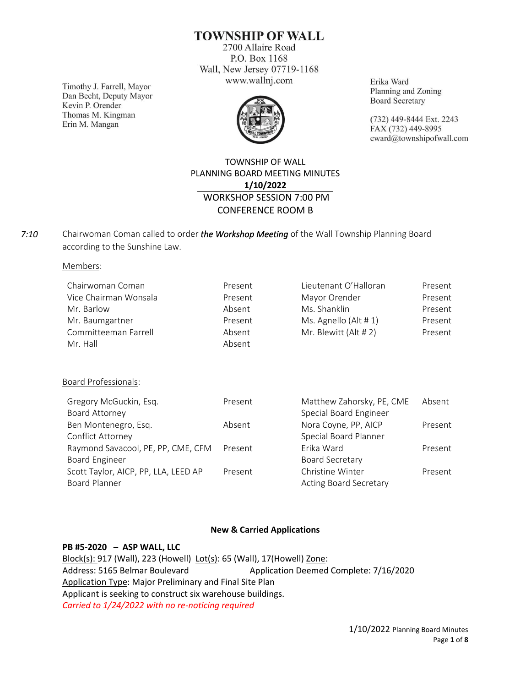**TOWNSHIP OF WALL** 

2700 Allaire Road P.O. Box 1168 Wall, New Jersey 07719-1168 www.wallnj.com

Timothy J. Farrell, Mayor Dan Becht, Deputy Mayor Kevin P. Orender Thomas M. Kingman Erin M. Mangan



Erika Ward Planning and Zoning **Board Secretary** 

(732) 449-8444 Ext. 2243 FAX (732) 449-8995 eward@townshipofwall.com

## TOWNSHIP OF WALL PLANNING BOARD MEETING MINUTES **1/10/2022** WORKSHOP SESSION 7:00 PM CONFERENCE ROOM B

Chairwoman Coman called to order *the Workshop Meeting* of the Wall Township Planning Board according to the Sunshine Law. *7:10*

Members:

| Chairwoman Coman      | Present | Lieutenant O'Halloran | Present |
|-----------------------|---------|-----------------------|---------|
| Vice Chairman Wonsala | Present | Mayor Orender         | Present |
| Mr. Barlow            | Absent  | Ms. Shanklin          | Present |
| Mr. Baumgartner       | Present | Ms. Agnello (Alt #1)  | Present |
| Committeeman Farrell  | Absent  | Mr. Blewitt (Alt # 2) | Present |
| Mr. Hall              | Absent  |                       |         |

Board Professionals:

| Present | Matthew Zahorsky, PE, CME     | Absent  |
|---------|-------------------------------|---------|
|         | Special Board Engineer        |         |
| Absent  | Nora Coyne, PP, AICP          | Present |
|         | Special Board Planner         |         |
| Present | Frika Ward                    | Present |
|         | <b>Board Secretary</b>        |         |
| Present | Christine Winter              | Present |
|         | <b>Acting Board Secretary</b> |         |
|         |                               |         |

### **New & Carried Applications**

### **PB #5-2020 – ASP WALL, LLC**

Block(s): 917 (Wall), 223 (Howell) Lot(s): 65 (Wall), 17(Howell) Zone: Address: 5165 Belmar Boulevard Application Deemed Complete: 7/16/2020 Application Type: Major Preliminary and Final Site Plan Applicant is seeking to construct six warehouse buildings. *Carried to 1/24/2022 with no re-noticing required*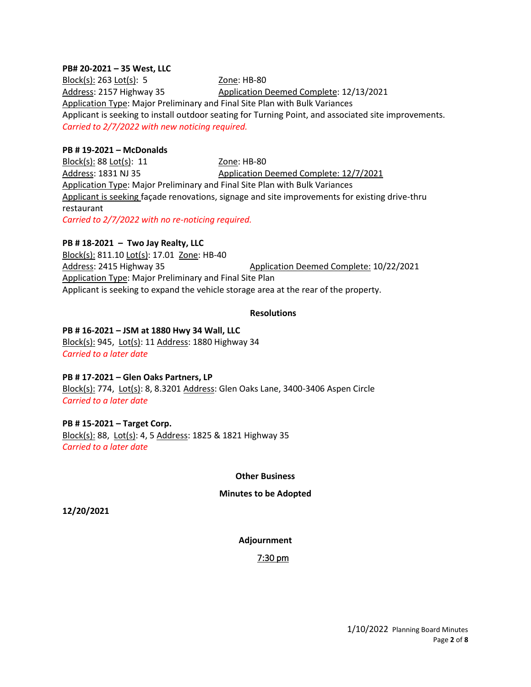### **PB# 20-2021 – 35 West, LLC**

Block(s): 263 Lot(s): 5 Zone: HB-80 Address: 2157 Highway 35 Application Deemed Complete: 12/13/2021 Application Type: Major Preliminary and Final Site Plan with Bulk Variances Applicant is seeking to install outdoor seating for Turning Point, and associated site improvements. *Carried to 2/7/2022 with new noticing required.* 

### **PB # 19-2021 – McDonalds**

Block(s): 88 Lot(s): 11 Zone: HB-80 Address: 1831 NJ 35 Application Deemed Complete: 12/7/2021 Application Type: Major Preliminary and Final Site Plan with Bulk Variances Applicant is seeking façade renovations, signage and site improvements for existing drive-thru restaurant *Carried to 2/7/2022 with no re-noticing required.*

### **PB # 18-2021 – Two Jay Realty, LLC**

Block(s): 811.10 Lot(s): 17.01 Zone: HB-40 Address: 2415 Highway 35 Application Deemed Complete: 10/22/2021 Application Type: Major Preliminary and Final Site Plan Applicant is seeking to expand the vehicle storage area at the rear of the property.

### **Resolutions**

### **PB # 16-2021 – JSM at 1880 Hwy 34 Wall, LLC**

Block(s): 945, Lot(s): 11 Address: 1880 Highway 34 *Carried to a later date*

### **PB # 17-2021 – Glen Oaks Partners, LP**

Block(s): 774, Lot(s): 8, 8.3201 Address: Glen Oaks Lane, 3400-3406 Aspen Circle *Carried to a later date*

### **PB # 15-2021 – Target Corp.**

Block(s): 88, Lot(s): 4, 5 Address: 1825 & 1821 Highway 35 *Carried to a later date*

### **Other Business**

### **Minutes to be Adopted**

**12/20/2021**

### **Adjournment**

### 7:30 pm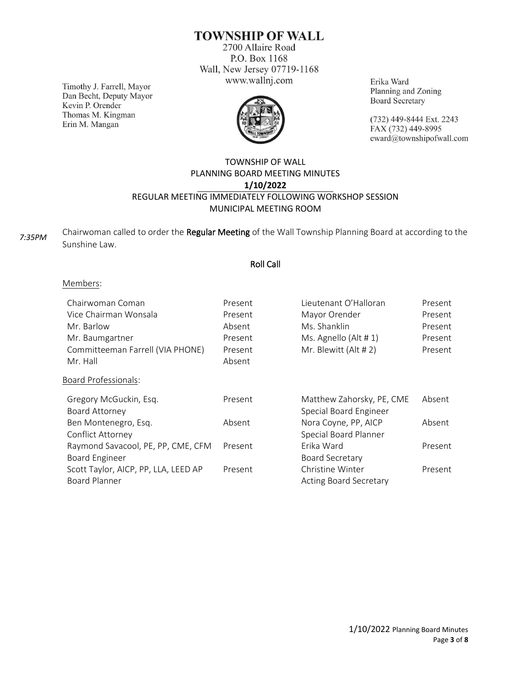# **TOWNSHIP OF WALL**

2700 Allaire Road P.O. Box 1168 Wall, New Jersey 07719-1168 www.wallnj.com

Timothy J. Farrell, Mayor Dan Becht, Deputy Mayor Kevin P. Orender Thomas M. Kingman Erin M. Mangan



Erika Ward Planning and Zoning **Board Secretary** 

(732) 449-8444 Ext. 2243 FAX (732) 449-8995 eward@townshipofwall.com

## TOWNSHIP OF WALL PLANNING BOARD MEETING MINUTES **1/10/2022** REGULAR MEETING IMMEDIATELY FOLLOWING WORKSHOP SESSION MUNICIPAL MEETING ROOM

| 7:35PM | Chairwoman called to order the Regular Meeting of the Wall Township Planning Board at according to the |
|--------|--------------------------------------------------------------------------------------------------------|
|        | Sunshine Law.                                                                                          |

### Roll Call

### Members:

| Chairwoman Coman<br>Vice Chairman Wonsala<br>Mr. Barlow<br>Mr. Baumgartner<br>Committeeman Farrell (VIA PHONE)<br>Mr. Hall<br><b>Board Professionals:</b> | Present<br>Present<br>Absent<br>Present<br>Present<br>Absent | Lieutenant O'Halloran<br>Mayor Orender<br>Ms. Shanklin<br>Ms. Agnello (Alt # 1)<br>Mr. Blewitt (Alt # 2) | Present<br>Present<br>Present<br>Present<br>Present |
|-----------------------------------------------------------------------------------------------------------------------------------------------------------|--------------------------------------------------------------|----------------------------------------------------------------------------------------------------------|-----------------------------------------------------|
|                                                                                                                                                           |                                                              |                                                                                                          | Absent                                              |
| Gregory McGuckin, Esq.<br>Board Attorney                                                                                                                  | Present                                                      | Matthew Zahorsky, PE, CME<br>Special Board Engineer                                                      |                                                     |
| Ben Montenegro, Esq.                                                                                                                                      | Absent                                                       | Nora Coyne, PP, AICP                                                                                     | Absent                                              |
| Conflict Attorney                                                                                                                                         |                                                              | Special Board Planner                                                                                    |                                                     |
| Raymond Savacool, PE, PP, CME, CFM                                                                                                                        | Present                                                      | Erika Ward                                                                                               | Present                                             |
| Board Engineer                                                                                                                                            |                                                              | <b>Board Secretary</b>                                                                                   |                                                     |
| Scott Taylor, AICP, PP, LLA, LEED AP                                                                                                                      | Present                                                      | Christine Winter                                                                                         | Present                                             |
| <b>Board Planner</b>                                                                                                                                      |                                                              | <b>Acting Board Secretary</b>                                                                            |                                                     |
|                                                                                                                                                           |                                                              |                                                                                                          |                                                     |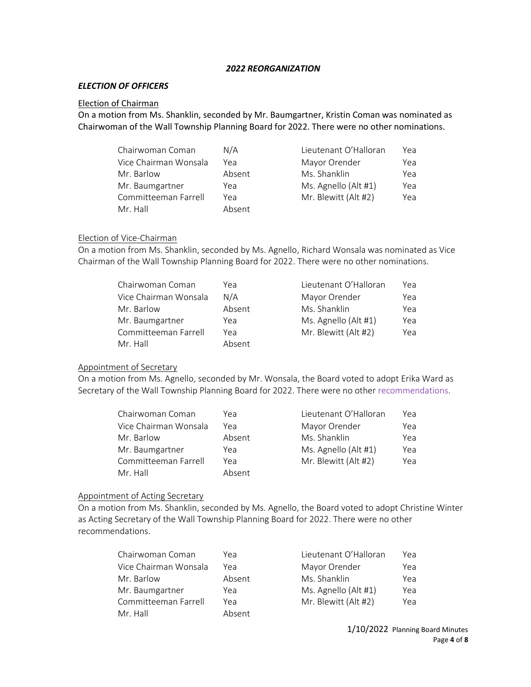### *2022 REORGANIZATION*

### *ELECTION OF OFFICERS*

#### Election of Chairman

On a motion from Ms. Shanklin, seconded by Mr. Baumgartner, Kristin Coman was nominated as Chairwoman of the Wall Township Planning Board for 2022. There were no other nominations.

| Chairwoman Coman      | N/A    | Lieutenant O'Halloran | Yea |
|-----------------------|--------|-----------------------|-----|
| Vice Chairman Wonsala | Yea    | Mayor Orender         | Yea |
| Mr. Barlow            | Absent | Ms. Shanklin          | Yea |
| Mr. Baumgartner       | Yea    | Ms. Agnello (Alt #1)  | Yea |
| Committeeman Farrell  | Yea    | Mr. Blewitt (Alt #2)  | Yea |
| Mr. Hall              | Absent |                       |     |

### Election of Vice-Chairman

On a motion from Ms. Shanklin, seconded by Ms. Agnello, Richard Wonsala was nominated as Vice Chairman of the Wall Township Planning Board for 2022. There were no other nominations.

| Chairwoman Coman      | Yea    | Lieutenant O'Halloran | Yea |
|-----------------------|--------|-----------------------|-----|
| Vice Chairman Wonsala | N/A    | Mayor Orender         | Yea |
| Mr. Barlow            | Absent | Ms. Shanklin          | Yea |
| Mr. Baumgartner       | Yea    | Ms. Agnello (Alt #1)  | Yea |
| Committeeman Farrell  | Yea    | Mr. Blewitt (Alt #2)  | Yea |
| Mr. Hall              | Absent |                       |     |

### Appointment of Secretary

On a motion from Ms. Agnello, seconded by Mr. Wonsala, the Board voted to adopt Erika Ward as Secretary of the Wall Township Planning Board for 2022. There were no other recommendations.

| Chairwoman Coman      | Үеа    | Lieutenant O'Halloran | Yea |
|-----------------------|--------|-----------------------|-----|
| Vice Chairman Wonsala | Үеа    | Mayor Orender         | Yea |
| Mr. Barlow            | Absent | Ms. Shanklin          | Yea |
| Mr. Baumgartner       | Yea    | Ms. Agnello (Alt #1)  | Yea |
| Committeeman Farrell  | Yea    | Mr. Blewitt (Alt #2)  | Yea |
| Mr. Hall              | Absent |                       |     |

### Appointment of Acting Secretary

On a motion from Ms. Shanklin, seconded by Ms. Agnello, the Board voted to adopt Christine Winter as Acting Secretary of the Wall Township Planning Board for 2022. There were no other recommendations.

| Chairwoman Coman      | Yea    | Lieutenant O'Halloran | Yea |
|-----------------------|--------|-----------------------|-----|
| Vice Chairman Wonsala | Yea    | Mayor Orender         | Yea |
| Mr. Barlow            | Absent | Ms. Shanklin          | Yea |
| Mr. Baumgartner       | Yea    | Ms. Agnello (Alt #1)  | Yea |
| Committeeman Farrell  | Yea    | Mr. Blewitt (Alt #2)  | Yea |
| Mr. Hall              | Absent |                       |     |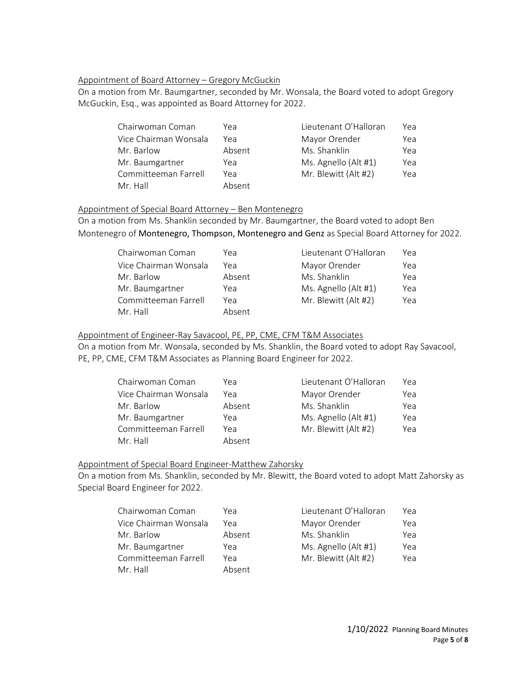### Appointment of Board Attorney – Gregory McGuckin

On a motion from Mr. Baumgartner, seconded by Mr. Wonsala, the Board voted to adopt Gregory McGuckin, Esq., was appointed as Board Attorney for 2022.

| Chairwoman Coman      | Yea    | Lieutenant O'Halloran | Yea |
|-----------------------|--------|-----------------------|-----|
| Vice Chairman Wonsala | Үеа    | Mayor Orender         | Yea |
| Mr. Barlow            | Absent | Ms. Shanklin          | Yea |
| Mr. Baumgartner       | Yea    | Ms. Agnello (Alt #1)  | Yea |
| Committeeman Farrell  | Yea    | Mr. Blewitt (Alt #2)  | Yea |
| Mr. Hall              | Absent |                       |     |

### Appointment of Special Board Attorney – Ben Montenegro

On a motion from Ms. Shanklin seconded by Mr. Baumgartner, the Board voted to adopt Ben Montenegro of Montenegro, Thompson, Montenegro and Genz as Special Board Attorney for 2022.

| Chairwoman Coman      | Yea    | Lieutenant O'Halloran | Yea |
|-----------------------|--------|-----------------------|-----|
| Vice Chairman Wonsala | Үеа    | Mayor Orender         | Yea |
| Mr. Barlow            | Absent | Ms. Shanklin          | Yea |
| Mr. Baumgartner       | Yea    | Ms. Agnello (Alt #1)  | Yea |
| Committeeman Farrell  | Yea    | Mr. Blewitt (Alt #2)  | Yea |
| Mr. Hall              | Absent |                       |     |

### Appointment of Engineer-Ray Savacool, PE, PP, CME, CFM T&M Associates

On a motion from Mr. Wonsala, seconded by Ms. Shanklin, the Board voted to adopt Ray Savacool, PE, PP, CME, CFM T&M Associates as Planning Board Engineer for 2022.

| Chairwoman Coman      | Yea    | Lieutenant O'Halloran | Yea |
|-----------------------|--------|-----------------------|-----|
| Vice Chairman Wonsala | Үеа    | Mayor Orender         | Yea |
| Mr. Barlow            | Absent | Ms. Shanklin          | Yea |
| Mr. Baumgartner       | Yea    | Ms. Agnello (Alt #1)  | Yea |
| Committeeman Farrell  | Yea    | Mr. Blewitt (Alt #2)  | Yea |
| Mr. Hall              | Absent |                       |     |

### Appointment of Special Board Engineer-Matthew Zahorsky

On a motion from Ms. Shanklin, seconded by Mr. Blewitt, the Board voted to adopt Matt Zahorsky as Special Board Engineer for 2022.

| Chairwoman Coman      | Yea    | Lieutenant O'Halloran | Yea |
|-----------------------|--------|-----------------------|-----|
| Vice Chairman Wonsala | Yea    | Mayor Orender         | Yea |
| Mr. Barlow            | Absent | Ms. Shanklin          | Yea |
| Mr. Baumgartner       | Yea    | Ms. Agnello (Alt #1)  | Yea |
| Committeeman Farrell  | Yea    | Mr. Blewitt (Alt #2)  | Yea |
| Mr. Hall              | Absent |                       |     |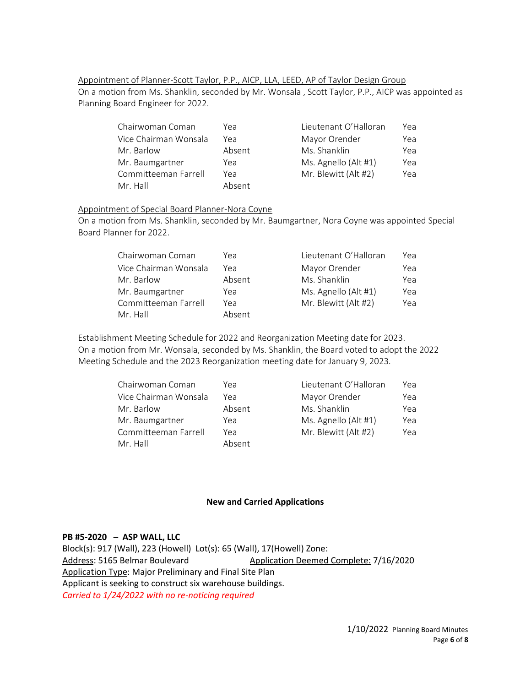Appointment of Planner-Scott Taylor, P.P., AICP, LLA, LEED, AP of Taylor Design Group On a motion from Ms. Shanklin, seconded by Mr. Wonsala , Scott Taylor, P.P., AICP was appointed as Planning Board Engineer for 2022.

| Chairwoman Coman      | Yea    | Lieutenant O'Halloran | Yea |
|-----------------------|--------|-----------------------|-----|
| Vice Chairman Wonsala | Yea    | Mayor Orender         | Yea |
| Mr. Barlow            | Absent | Ms. Shanklin          | Yea |
| Mr. Baumgartner       | Yea    | Ms. Agnello (Alt #1)  | Yea |
| Committeeman Farrell  | Yea    | Mr. Blewitt (Alt #2)  | Yea |
| Mr. Hall              | Absent |                       |     |

### Appointment of Special Board Planner-Nora Coyne

On a motion from Ms. Shanklin, seconded by Mr. Baumgartner, Nora Coyne was appointed Special Board Planner for 2022.

| Yea    | Lieutenant O'Halloran | Yea |
|--------|-----------------------|-----|
| Yea    | Mayor Orender         | Yea |
| Absent | Ms. Shanklin          | Yea |
| Yea    | Ms. Agnello (Alt #1)  | Yea |
| Yea    | Mr. Blewitt (Alt #2)  | Yea |
| Absent |                       |     |
|        |                       |     |

Establishment Meeting Schedule for 2022 and Reorganization Meeting date for 2023. On a motion from Mr. Wonsala, seconded by Ms. Shanklin, the Board voted to adopt the 2022 Meeting Schedule and the 2023 Reorganization meeting date for January 9, 2023.

| Chairwoman Coman      | Yea    | Lieutenant O'Halloran | Yeal |
|-----------------------|--------|-----------------------|------|
| Vice Chairman Wonsala | Yea    | Mayor Orender         | Yea  |
| Mr. Barlow            | Absent | Ms. Shanklin          | Yea  |
| Mr. Baumgartner       | Yea    | Ms. Agnello (Alt #1)  | Yea  |
| Committeeman Farrell  | Yea    | Mr. Blewitt (Alt #2)  | Yea  |
| Mr. Hall              | Absent |                       |      |

### **New and Carried Applications**

### **PB #5-2020 – ASP WALL, LLC**

Block(s): 917 (Wall), 223 (Howell) Lot(s): 65 (Wall), 17(Howell) Zone: Address: 5165 Belmar Boulevard Application Deemed Complete: 7/16/2020 Application Type: Major Preliminary and Final Site Plan Applicant is seeking to construct six warehouse buildings. *Carried to 1/24/2022 with no re-noticing required*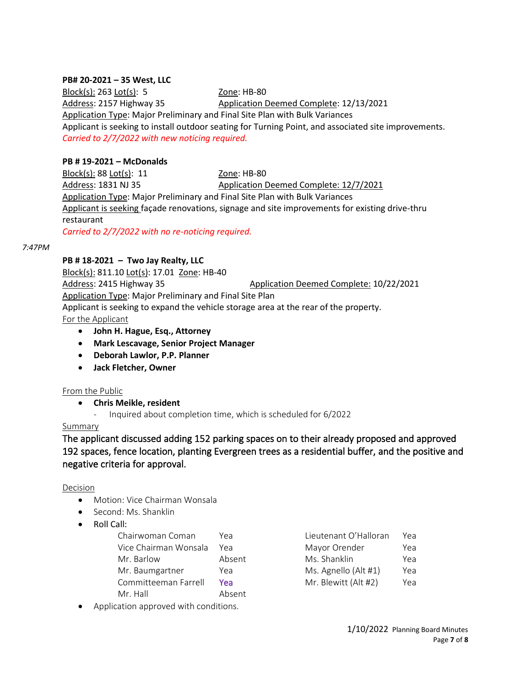### **PB# 20-2021 – 35 West, LLC**

Block(s): 263 Lot(s): 5 Zone: HB-80 Address: 2157 Highway 35 Application Deemed Complete: 12/13/2021 Application Type: Major Preliminary and Final Site Plan with Bulk Variances Applicant is seeking to install outdoor seating for Turning Point, and associated site improvements. *Carried to 2/7/2022 with new noticing required.* 

### **PB # 19-2021 – McDonalds**

Block(s): 88 Lot(s): 11 Zone: HB-80 Address: 1831 NJ 35 Application Deemed Complete: 12/7/2021 Application Type: Major Preliminary and Final Site Plan with Bulk Variances Applicant is seeking façade renovations, signage and site improvements for existing drive-thru restaurant *Carried to 2/7/2022 with no re-noticing required.*

#### *7:47PM*

### **PB # 18-2021 – Two Jay Realty, LLC**

Block(s): 811.10 Lot(s): 17.01 Zone: HB-40 Address: 2415 Highway 35 Application Deemed Complete: 10/22/2021 Application Type: Major Preliminary and Final Site Plan Applicant is seeking to expand the vehicle storage area at the rear of the property. For the Applicant

- **John H. Hague, Esq., Attorney**
- **Mark Lescavage, Senior Project Manager**
- **Deborah Lawlor, P.P. Planner**
- **Jack Fletcher, Owner**

### From the Public

• **Chris Meikle, resident** 

- Inquired about completion time, which is scheduled for 6/2022

### Summary

The applicant discussed adding 152 parking spaces on to their already proposed and approved 192 spaces, fence location, planting Evergreen trees as a residential buffer, and the positive and negative criteria for approval.

#### Decision

- Motion: Vice Chairman Wonsala
- Second: Ms. Shanklin
- Roll Call:

| Chairwoman Coman      | Үеа    | Lieutenant O'Halloran | Yea |
|-----------------------|--------|-----------------------|-----|
| Vice Chairman Wonsala | Үеа    | Mayor Orender         | Yea |
| Mr. Barlow            | Absent | Ms. Shanklin          | Yea |
| Mr. Baumgartner       | Yea    | Ms. Agnello (Alt #1)  | Yea |
| Committeeman Farrell  | Үеа    | Mr. Blewitt (Alt #2)  | Yea |
| Mr. Hall              | Absent |                       |     |

| Lieutenant O'Halloran | Yea |
|-----------------------|-----|
| Mayor Orender         | Yea |
| Ms. Shanklin          | Yea |
| Ms. Agnello (Alt #1)  | Yea |
| Mr. Blewitt (Alt #2)  | Yea |

Application approved with conditions.